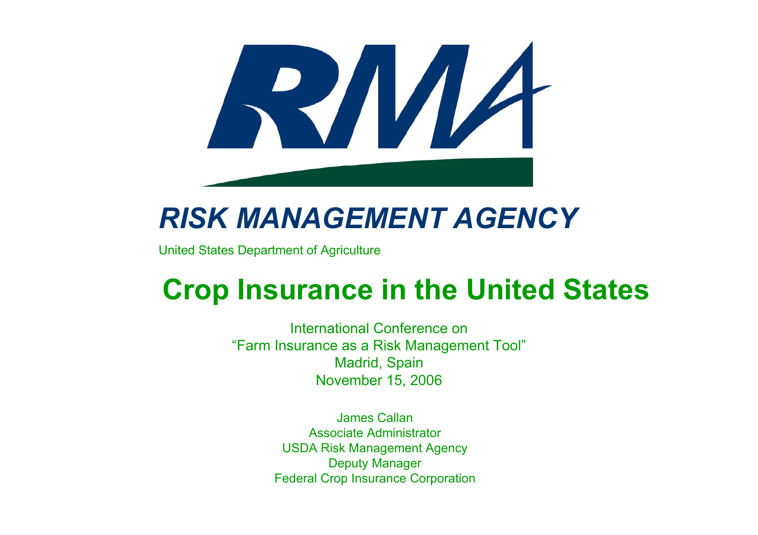

#### *RISK MANAGEMENT AGENCY*

United States Department of Agriculture

#### **Crop Insurance in the United States**

International Conference on"Farm Insurance as a Risk Management Tool" Madrid, Spain November 15, 2006

> James CallanAssociate AdministratorUSDA Risk Management Agency Deputy Manager Federal Crop Insurance Corporation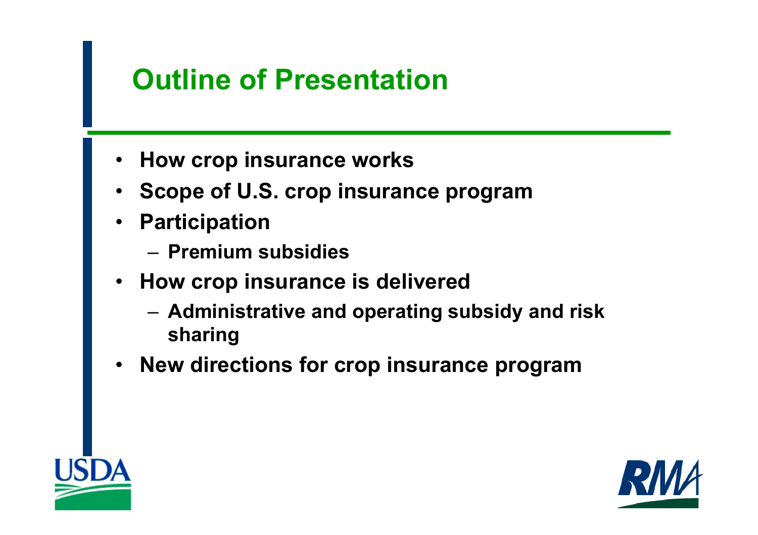### **Outline of Presentation**

- **How crop insurance works**
- **Scope of U.S. crop insurance program**
- **Participation**
	- **Premium subsidies**
- **How crop insurance is delivered**
	- **Administrative and operating subsidy and risk sharing**
- **New directions for crop insurance program**



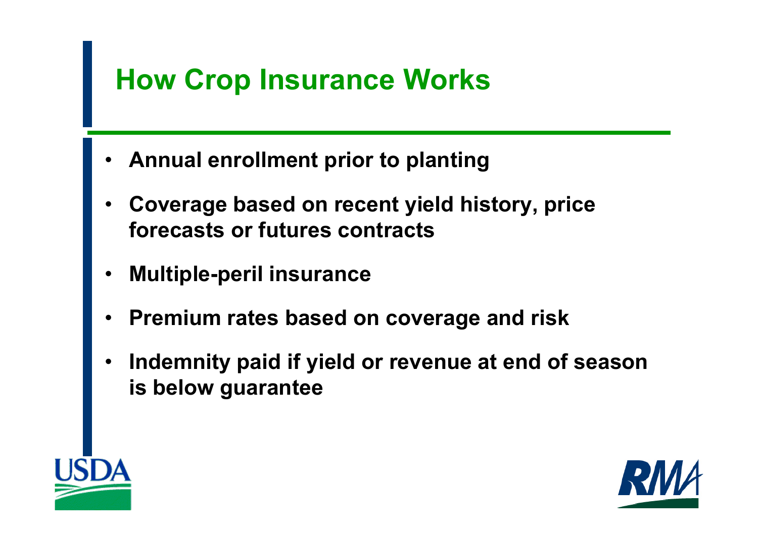## **How Crop Insurance Works**

- **Annual enrollment prior to planting**
- • **Coverage based on recent yield history, price forecasts or futures contracts**
- •**Multiple-peril insurance**
- •**Premium rates based on coverage and risk**
- • **Indemnity paid if yield or revenue at end of season is below guarantee**



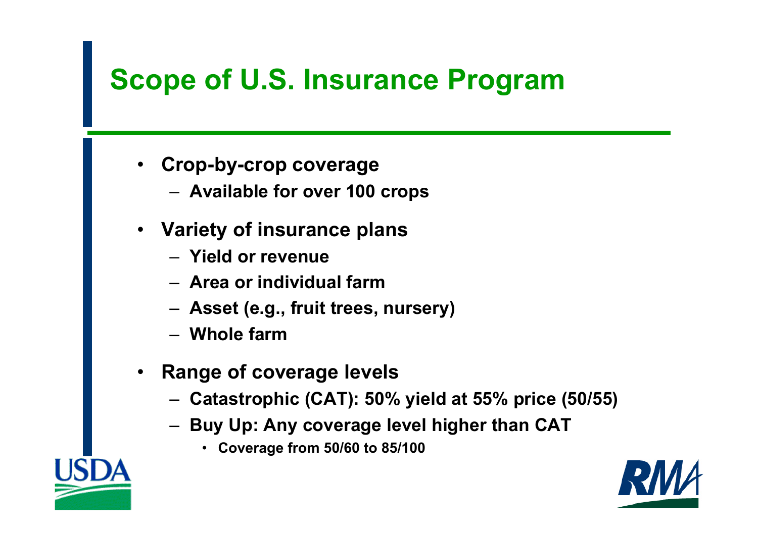# **Scope of U.S. Insurance Program**

- • **Crop-by-crop coverage**
	- **Available for over 100 crops**
- **Variety of insurance plans**
	- **Yield or revenue**
	- **Area or individual farm**
	- **Asset (e.g., fruit trees, nursery)**
	- **Whole farm**
- • **Range of coverage levels**
	- **Catastrophic (CAT): 50% yield at 55% price (50/55)**
	- **Buy Up: Any coverage level higher than CAT**
		- **Coverage from 50/60 to 85/100**

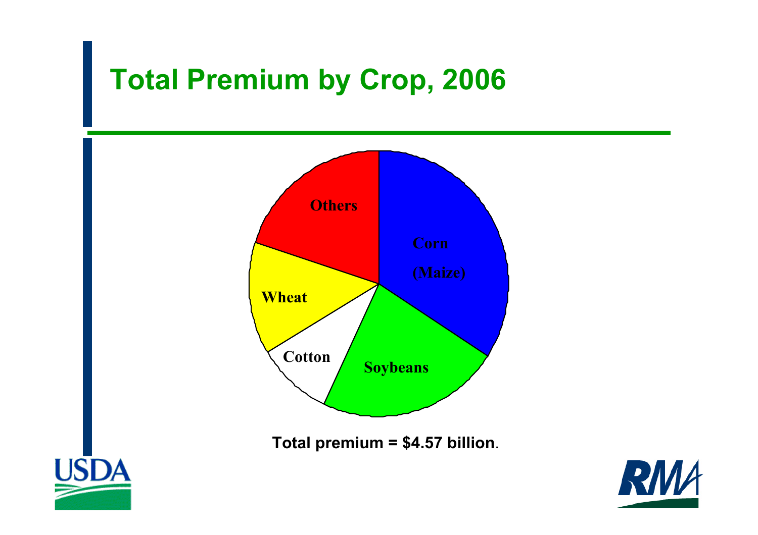## **Total Premium by Crop, 2006**



**Total premium = \$4.57 billion**.



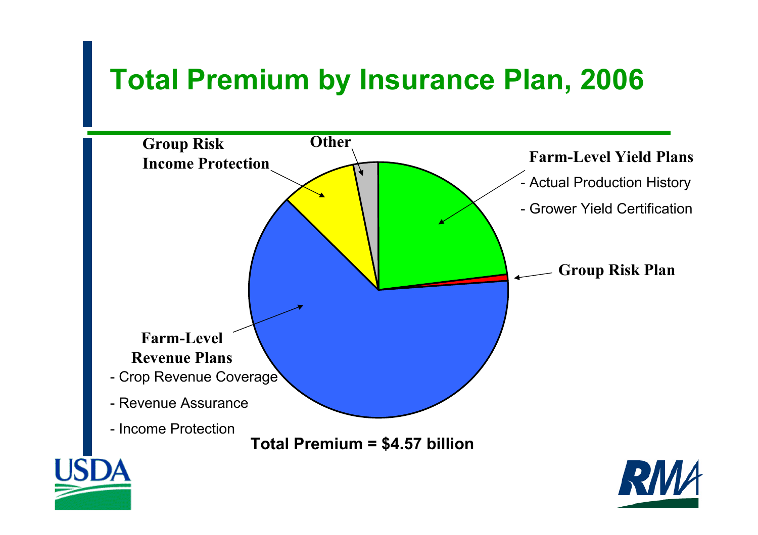# **Total Premium by Insurance Plan, 2006**

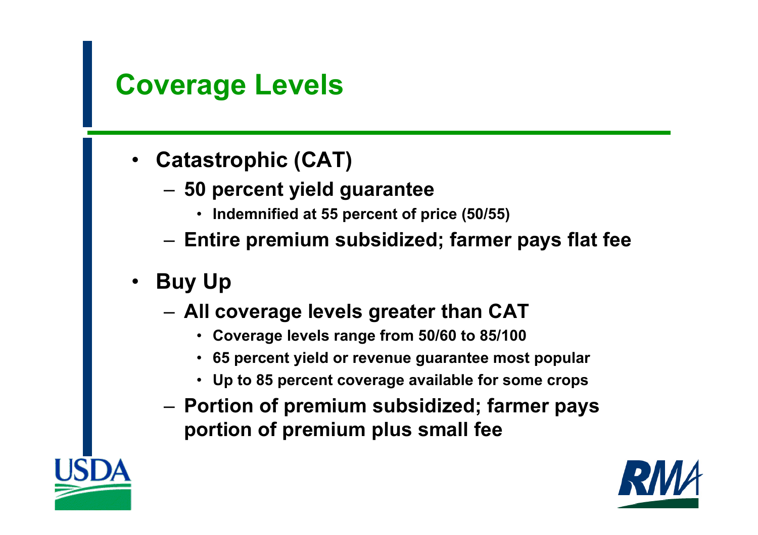#### **Coverage Levels**

- • **Catastrophic (CAT)**
	- **50 percent yield guarantee** 
		- **Indemnified at 55 percent of price (50/55)**
	- **Entire premium subsidized; farmer pays flat fee**
- **Buy Up**
	- **All coverage levels greater than CAT**
		- **Coverage levels range from 50/60 to 85/100**
		- **65 percent yield or revenue guarantee most popular**
		- **Up to 85 percent coverage available for some crops**
	- **Portion of premium subsidized; farmer pays portion of premium plus small fee**

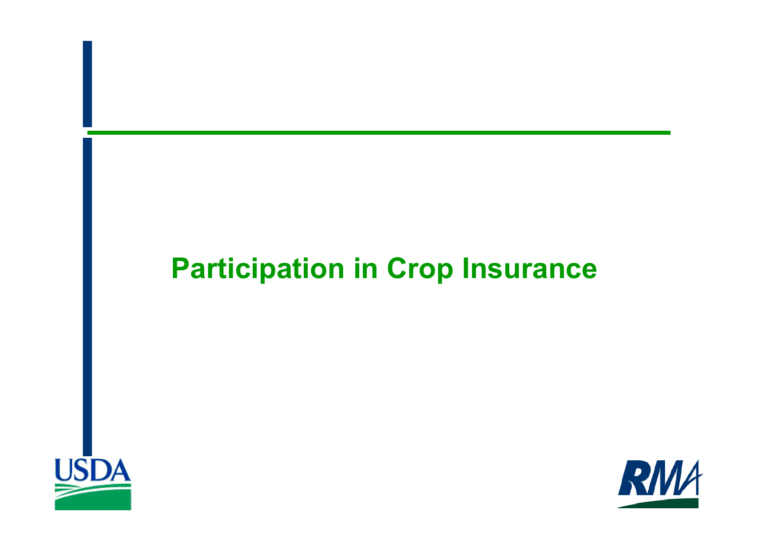#### **Participation in Crop Insurance**



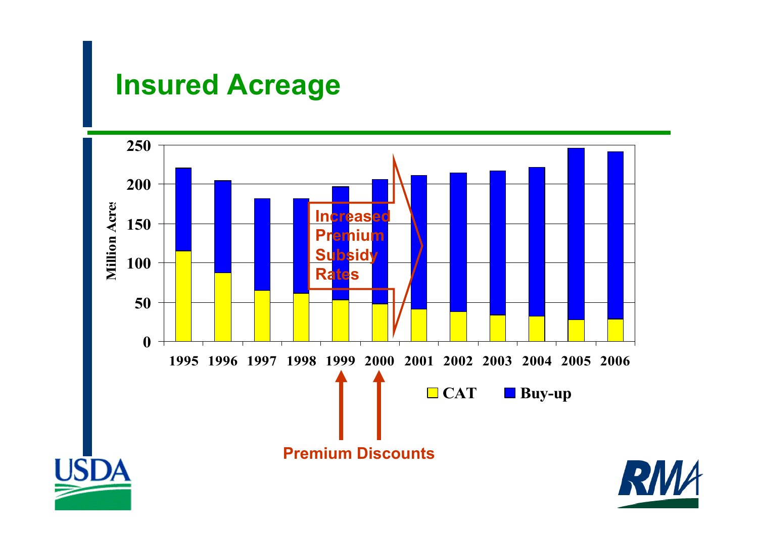#### **Insured Acreage**

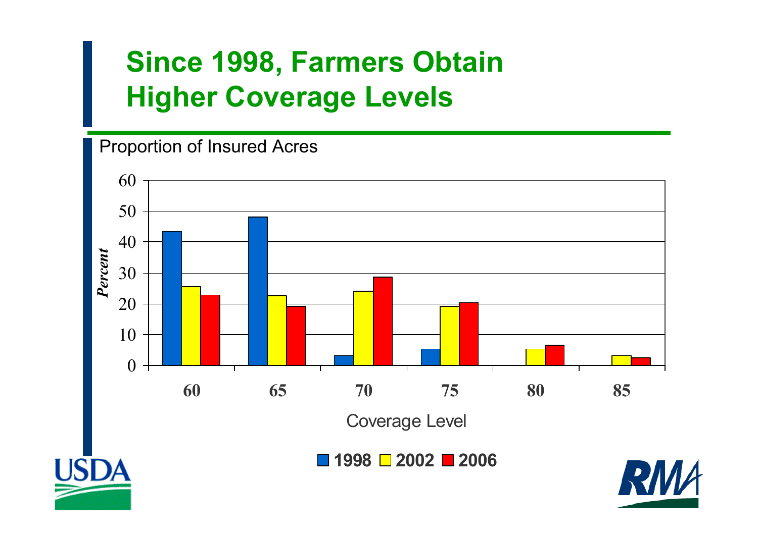## **Since 1998, Farmers Obtain Higher Coverage Levels**

#### Proportion of Insured Acres

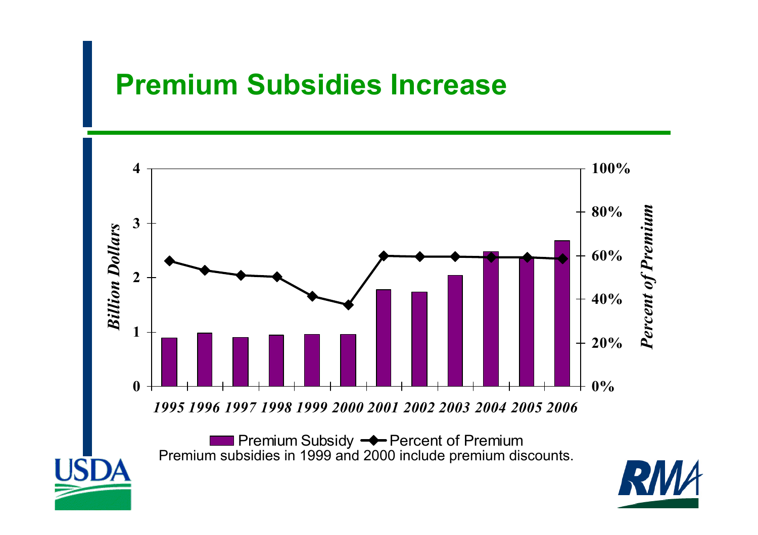#### **Premium Subsidies Increase**



Premium Subsidy <del>- C</del> Percent of Premium Premium subsidies in 1999 and 2000 include premium discounts.

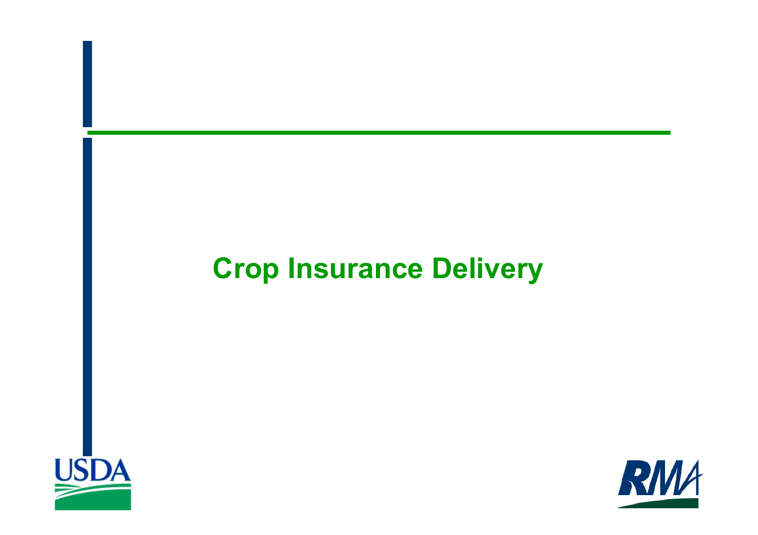## **Crop Insurance Delivery**



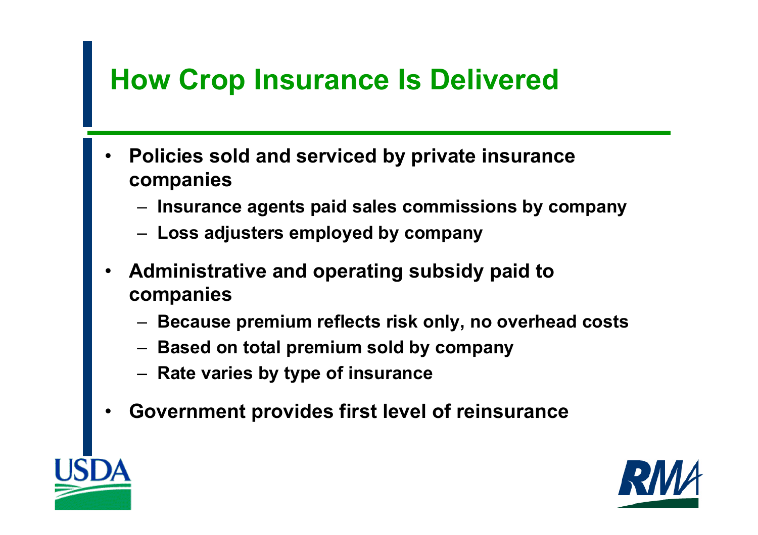## **How Crop Insurance Is Delivered**

- • **Policies sold and serviced by private insurance companies**
	- **Insurance agents paid sales commissions by company**
	- **Loss adjusters employed by company**
- • **Administrative and operating subsidy paid to companies**
	- **Because premium reflects risk only, no overhead costs**
	- **Based on total premium sold by company**
	- **Rate varies by type of insurance**
- •**Government provides first level of reinsurance**



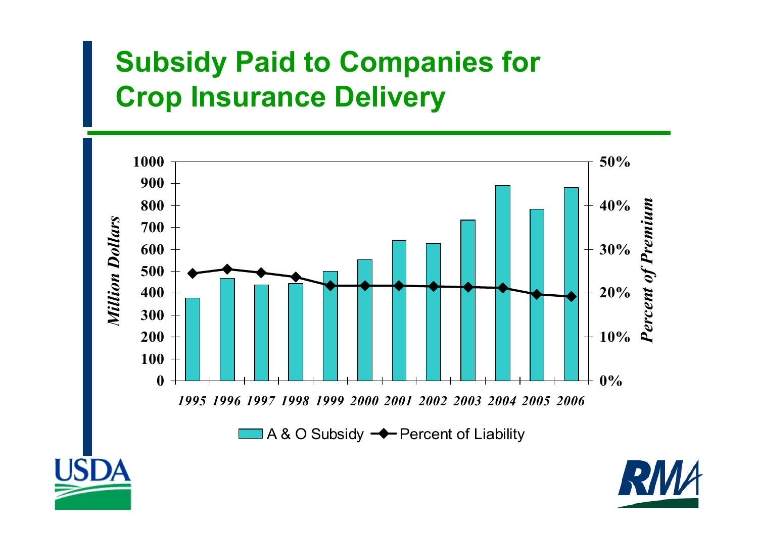## **Subsidy Paid to Companies for Crop Insurance Delivery**



A & O Subsidy  $\rightarrow$  Percent of Liability



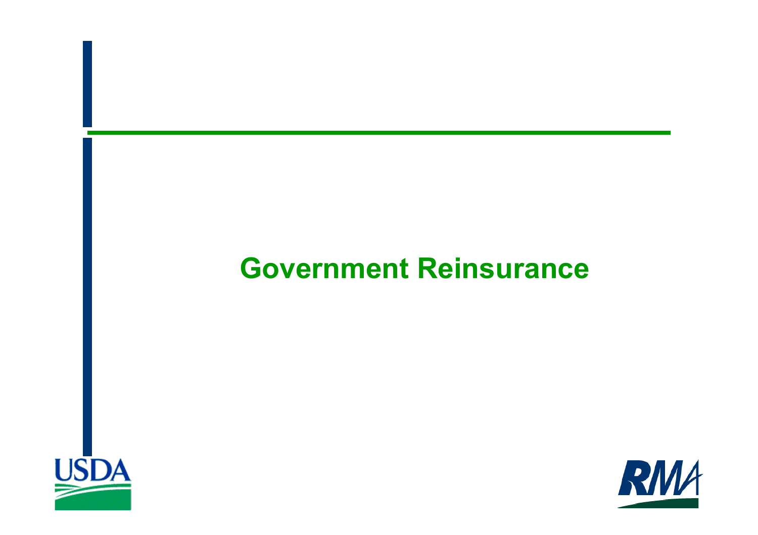#### **Government Reinsurance**



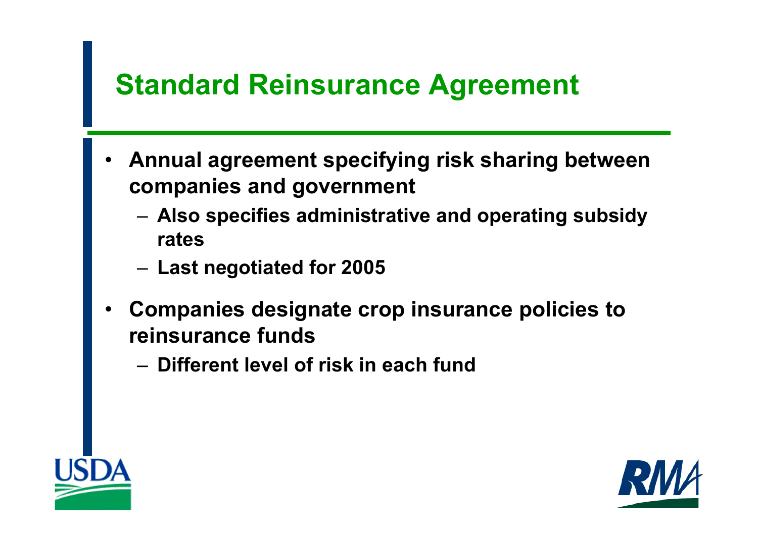# **Standard Reinsurance Agreement**

- • **Annual agreement specifying risk sharing between companies and government**
	- **Also specifies administrative and operating subsidy rates**
	- **Last negotiated for 2005**
- • **Companies designate crop insurance policies to reinsurance funds**
	- **Different level of risk in each fund**



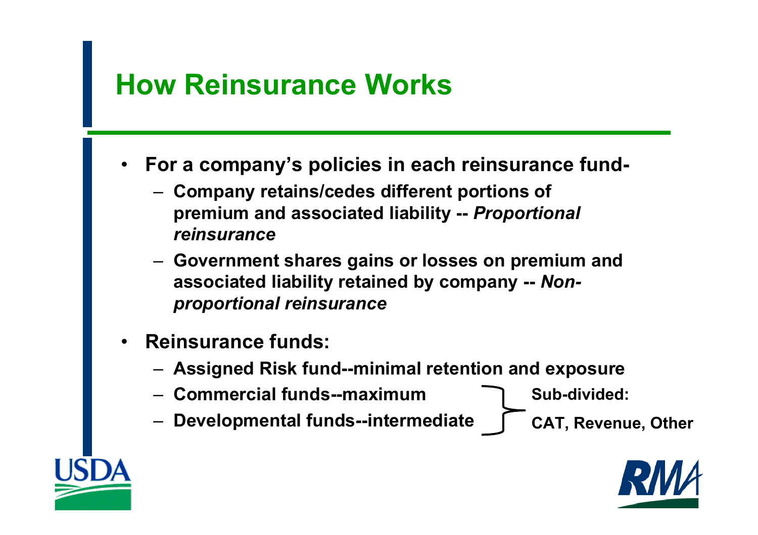#### **How Reinsurance Works**

- • **For a company's policies in each reinsurance fund-**
	- **Company retains/cedes different portions of premium and associated liability --** *Proportional reinsurance*
	- **Government shares gains or losses on premium and associated liability retained by company --** *Nonproportional reinsurance*
- • **Reinsurance funds:**
	- **Assigned Risk fund--minimal retention and exposure**
	- **Commercial funds--maximum**

**Sub-divided:**

**Developmental funds--intermediate**

**CAT, Revenue, Other** 

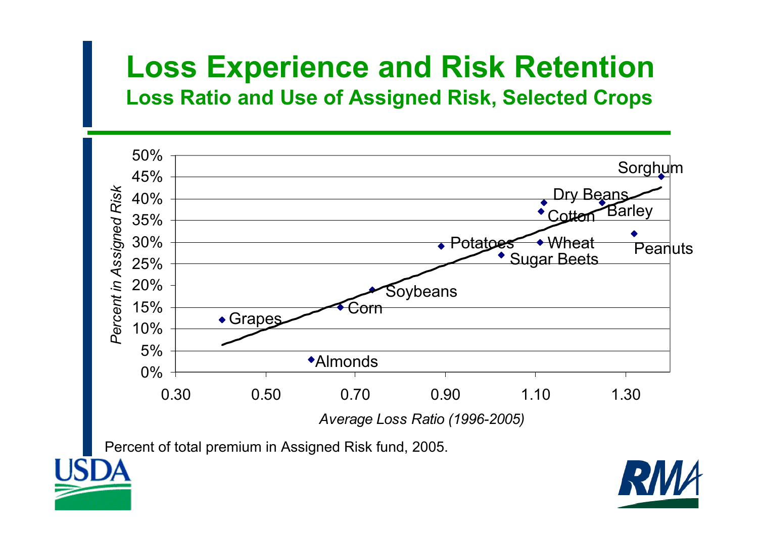#### **Loss Experience and Risk Retention Loss Ratio and Use of Assigned Risk, Selected Crops**



Percent of total premium in Assigned Risk fund, 2005.

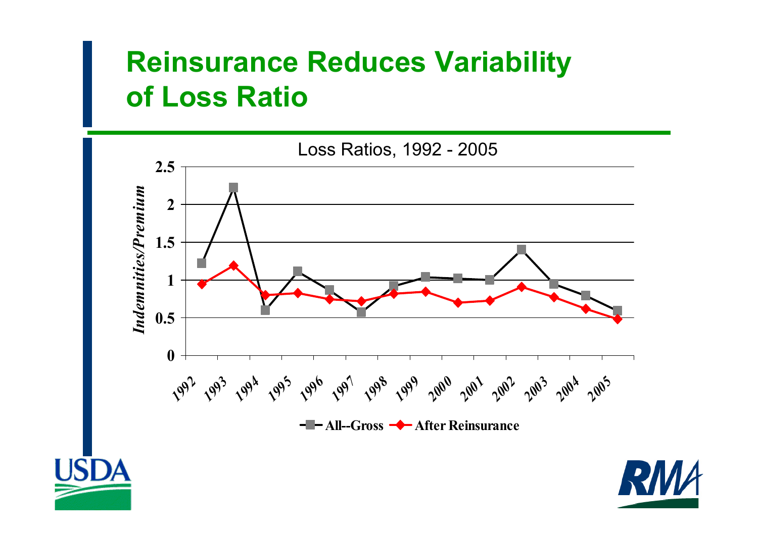#### **Reinsurance Reduces Variability of Loss Ratio**





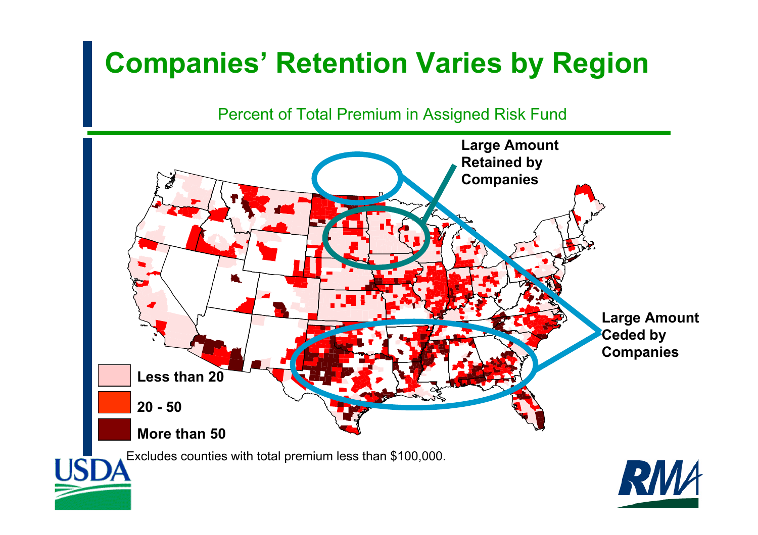# **Companies' Retention Varies by Region**

Percent of Total Premium in Assigned Risk Fund

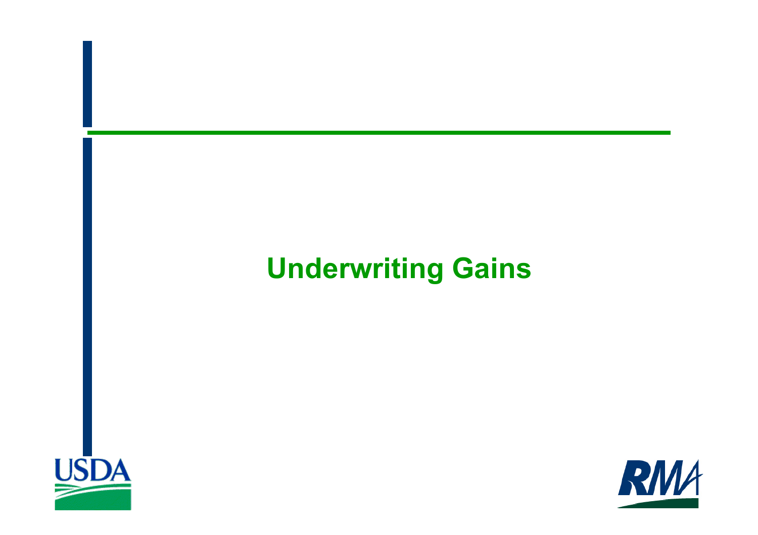# **Underwriting Gains**



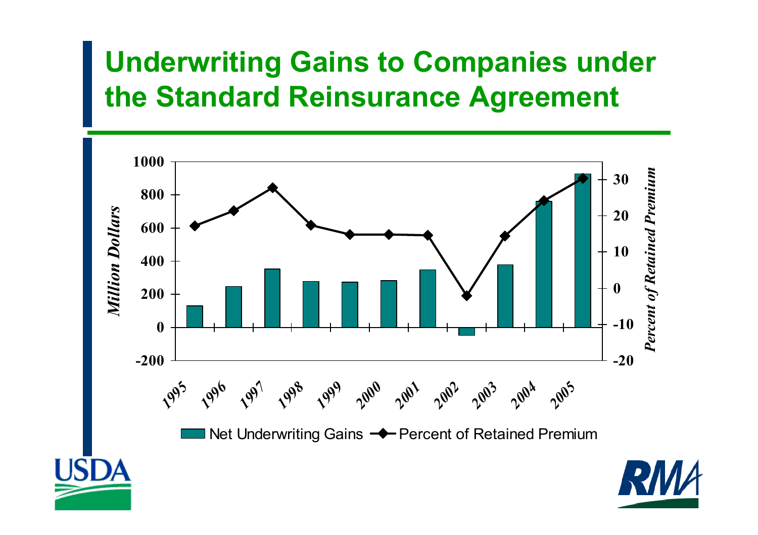## **Underwriting Gains to Companies under the Standard Reinsurance Agreement**

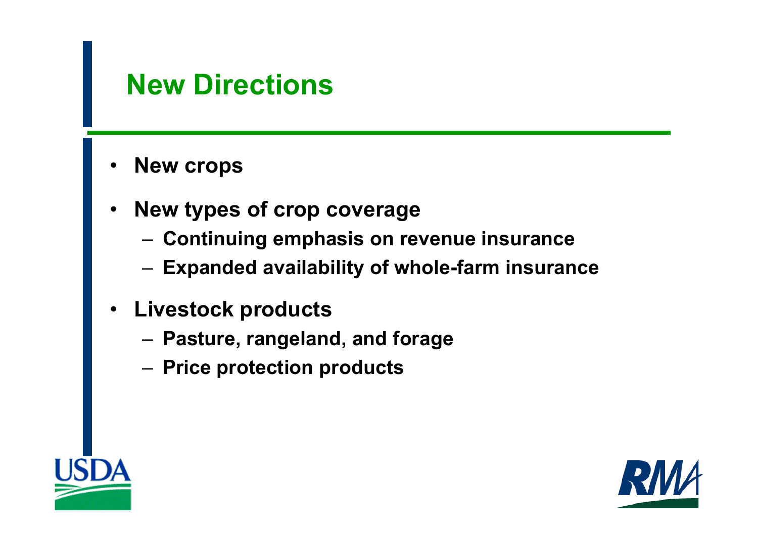#### **New Directions**

- •**New crops**
- • **New types of crop coverage**
	- **Continuing emphasis on revenue insurance**
	- **Expanded availability of whole-farm insurance**
- **Livestock products**
	- **Pasture, rangeland, and forage**
	- **Price protection products**



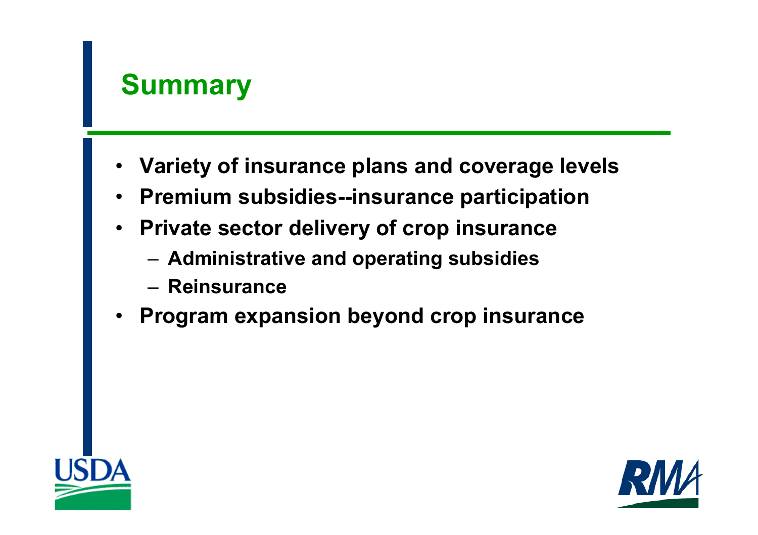

- **Variety of insurance plans and coverage levels**
- •**Premium subsidies--insurance participation**
- **Private sector delivery of crop insurance**
	- **Administrative and operating subsidies**
	- **Reinsurance**
- •**Program expansion beyond crop insurance**